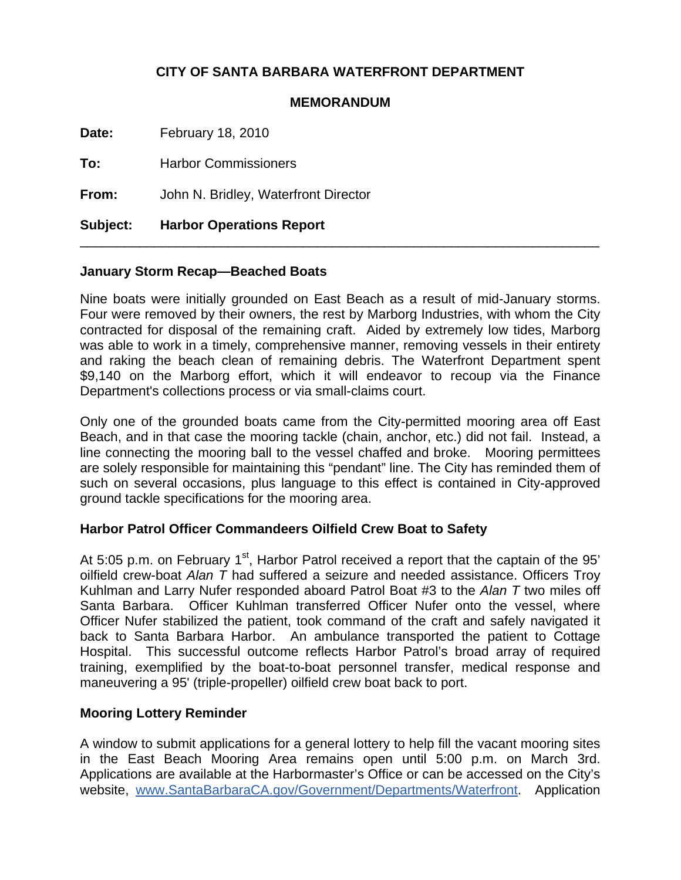# **CITY OF SANTA BARBARA WATERFRONT DEPARTMENT**

#### **MEMORANDUM**

**Date:** February 18, 2010

**To:** Harbor Commissioners

**From:** John N. Bridley, Waterfront Director

**Subject: Harbor Operations Report** 

# **January Storm Recap—Beached Boats**

Nine boats were initially grounded on East Beach as a result of mid-January storms. Four were removed by their owners, the rest by Marborg Industries, with whom the City contracted for disposal of the remaining craft. Aided by extremely low tides, Marborg was able to work in a timely, comprehensive manner, removing vessels in their entirety and raking the beach clean of remaining debris. The Waterfront Department spent \$9,140 on the Marborg effort, which it will endeavor to recoup via the Finance Department's collections process or via small-claims court.

\_\_\_\_\_\_\_\_\_\_\_\_\_\_\_\_\_\_\_\_\_\_\_\_\_\_\_\_\_\_\_\_\_\_\_\_\_\_\_\_\_\_\_\_\_\_\_\_\_\_\_\_\_\_\_\_\_\_\_\_\_\_\_\_\_\_\_\_\_\_

Only one of the grounded boats came from the City-permitted mooring area off East Beach, and in that case the mooring tackle (chain, anchor, etc.) did not fail. Instead, a line connecting the mooring ball to the vessel chaffed and broke. Mooring permittees are solely responsible for maintaining this "pendant" line. The City has reminded them of such on several occasions, plus language to this effect is contained in City-approved ground tackle specifications for the mooring area.

## **Harbor Patrol Officer Commandeers Oilfield Crew Boat to Safety**

At 5:05 p.m. on February 1<sup>st</sup>, Harbor Patrol received a report that the captain of the 95' oilfield crew-boat *Alan T* had suffered a seizure and needed assistance. Officers Troy Kuhlman and Larry Nufer responded aboard Patrol Boat #3 to the *Alan T* two miles off Santa Barbara. Officer Kuhlman transferred Officer Nufer onto the vessel, where Officer Nufer stabilized the patient, took command of the craft and safely navigated it back to Santa Barbara Harbor. An ambulance transported the patient to Cottage Hospital. This successful outcome reflects Harbor Patrol's broad array of required training, exemplified by the boat-to-boat personnel transfer, medical response and maneuvering a 95' (triple-propeller) oilfield crew boat back to port.

## **Mooring Lottery Reminder**

A window to submit applications for a general lottery to help fill the vacant mooring sites in the East Beach Mooring Area remains open until 5:00 p.m. on March 3rd. Applications are available at the Harbormaster's Office or can be accessed on the City's website, [www.SantaBarbaraCA.gov/Government/Departments/Waterfront.](http://www.santabarbaraca.gov/Government/Departments/Waterfront) Application